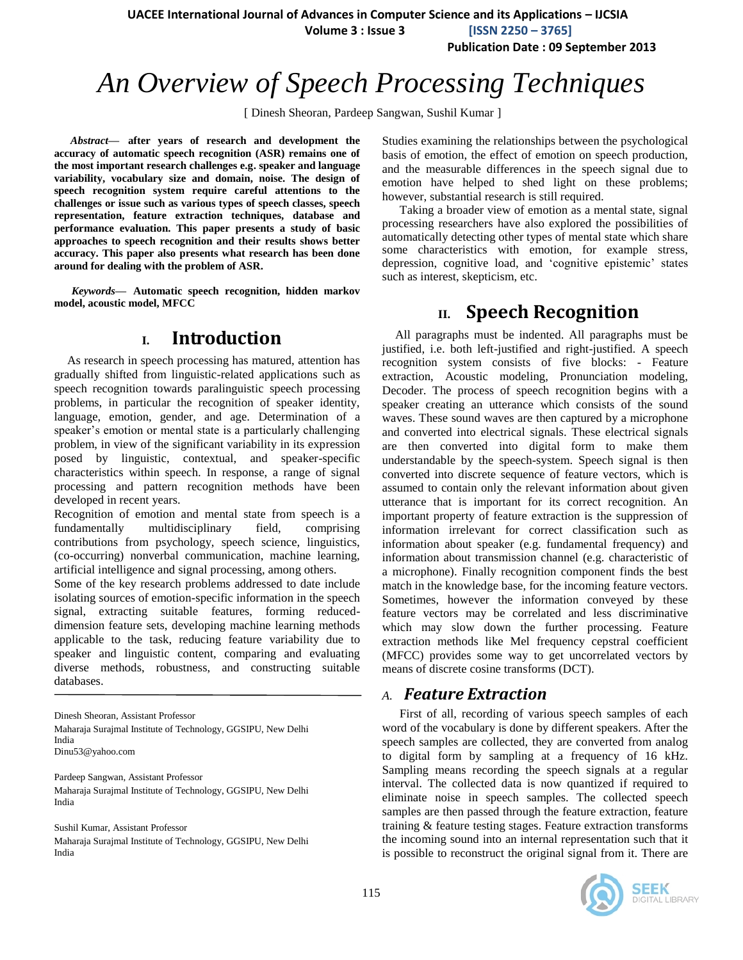**UACEE International Journal of Advances in Computer Science and its Applications – IJCSIA**

 **Volume 3 : Issue 3 [ISSN 2250 – 3765]**

**Publication Date : 09 September 2013**

# *An Overview of Speech Processing Techniques*

[ Dinesh Sheoran, Pardeep Sangwan, Sushil Kumar ]

*Abstract***— after years of research and development the accuracy of automatic speech recognition (ASR) remains one of the most important research challenges e.g. speaker and language variability, vocabulary size and domain, noise. The design of speech recognition system require careful attentions to the challenges or issue such as various types of speech classes, speech representation, feature extraction techniques, database and performance evaluation. This paper presents a study of basic approaches to speech recognition and their results shows better accuracy. This paper also presents what research has been done around for dealing with the problem of ASR.**

*Keywords—* **Automatic speech recognition, hidden markov model, acoustic model, MFCC**

# **I. Introduction**

As research in speech processing has matured, attention has gradually shifted from linguistic-related applications such as speech recognition towards paralinguistic speech processing problems, in particular the recognition of speaker identity, language, emotion, gender, and age. Determination of a speaker's emotion or mental state is a particularly challenging problem, in view of the significant variability in its expression posed by linguistic, contextual, and speaker-specific characteristics within speech. In response, a range of signal processing and pattern recognition methods have been developed in recent years.

Recognition of emotion and mental state from speech is a fundamentally multidisciplinary field, comprising contributions from psychology, speech science, linguistics, (co-occurring) nonverbal communication, machine learning, artificial intelligence and signal processing, among others.

Some of the key research problems addressed to date include isolating sources of emotion-specific information in the speech signal, extracting suitable features, forming reduceddimension feature sets, developing machine learning methods applicable to the task, reducing feature variability due to speaker and linguistic content, comparing and evaluating diverse methods, robustness, and constructing suitable databases.

Dinesh Sheoran, Assistant Professor Maharaja Surajmal Institute of Technology, GGSIPU, New Delhi India Dinu53@yahoo.com

Pardeep Sangwan, Assistant Professor Maharaja Surajmal Institute of Technology, GGSIPU, New Delhi India

Sushil Kumar, Assistant Professor

Maharaja Surajmal Institute of Technology, GGSIPU, New Delhi India

Studies examining the relationships between the psychological basis of emotion, the effect of emotion on speech production, and the measurable differences in the speech signal due to emotion have helped to shed light on these problems; however, substantial research is still required.

Taking a broader view of emotion as a mental state, signal processing researchers have also explored the possibilities of automatically detecting other types of mental state which share some characteristics with emotion, for example stress, depression, cognitive load, and "cognitive epistemic" states such as interest, skepticism, etc.

# **II. Speech Recognition**

All paragraphs must be indented. All paragraphs must be justified, i.e. both left-justified and right-justified. A speech recognition system consists of five blocks: - Feature extraction, Acoustic modeling, Pronunciation modeling, Decoder. The process of speech recognition begins with a speaker creating an utterance which consists of the sound waves. These sound waves are then captured by a microphone and converted into electrical signals. These electrical signals are then converted into digital form to make them understandable by the speech-system. Speech signal is then converted into discrete sequence of feature vectors, which is assumed to contain only the relevant information about given utterance that is important for its correct recognition. An important property of feature extraction is the suppression of information irrelevant for correct classification such as information about speaker (e.g. fundamental frequency) and information about transmission channel (e.g. characteristic of a microphone). Finally recognition component finds the best match in the knowledge base, for the incoming feature vectors. Sometimes, however the information conveyed by these feature vectors may be correlated and less discriminative which may slow down the further processing. Feature extraction methods like Mel frequency cepstral coefficient (MFCC) provides some way to get uncorrelated vectors by means of discrete cosine transforms (DCT).

### *A. Feature Extraction*

First of all, recording of various speech samples of each word of the vocabulary is done by different speakers. After the speech samples are collected, they are converted from analog to digital form by sampling at a frequency of 16 kHz. Sampling means recording the speech signals at a regular interval. The collected data is now quantized if required to eliminate noise in speech samples. The collected speech samples are then passed through the feature extraction, feature training & feature testing stages. Feature extraction transforms the incoming sound into an internal representation such that it is possible to reconstruct the original signal from it. There are

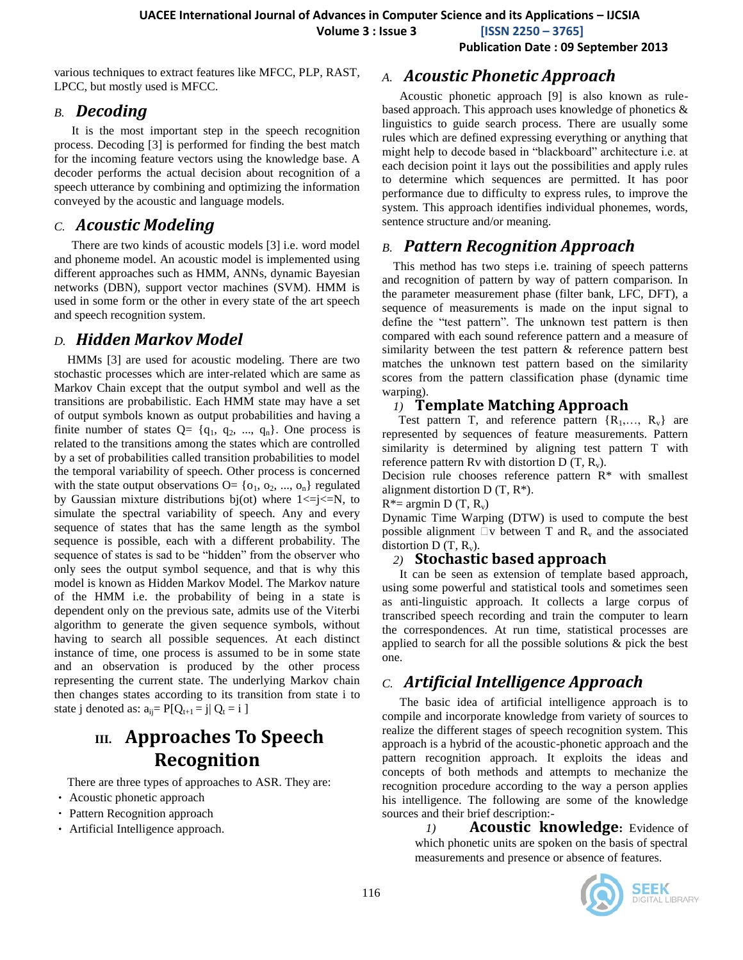**Volume 3 : Issue 3 [ISSN 2250 – 3765]**

**Publication Date : 09 September 2013**

various techniques to extract features like MFCC, PLP, RAST, LPCC, but mostly used is MFCC.

### *B. Decoding*

It is the most important step in the speech recognition process. Decoding [3] is performed for finding the best match for the incoming feature vectors using the knowledge base. A decoder performs the actual decision about recognition of a speech utterance by combining and optimizing the information conveyed by the acoustic and language models.

# *C. Acoustic Modeling*

There are two kinds of acoustic models [3] i.e. word model and phoneme model. An acoustic model is implemented using different approaches such as HMM, ANNs, dynamic Bayesian networks (DBN), support vector machines (SVM). HMM is used in some form or the other in every state of the art speech and speech recognition system.

# *D. Hidden Markov Model*

HMMs [3] are used for acoustic modeling. There are two stochastic processes which are inter-related which are same as Markov Chain except that the output symbol and well as the transitions are probabilistic. Each HMM state may have a set of output symbols known as output probabilities and having a finite number of states  $Q = \{q_1, q_2, ..., q_n\}$ . One process is related to the transitions among the states which are controlled by a set of probabilities called transition probabilities to model the temporal variability of speech. Other process is concerned with the state output observations  $O = \{o_1, o_2, ..., o_n\}$  regulated by Gaussian mixture distributions bj(ot) where  $1 \le i \le N$ , to simulate the spectral variability of speech. Any and every sequence of states that has the same length as the symbol sequence is possible, each with a different probability. The sequence of states is sad to be "hidden" from the observer who only sees the output symbol sequence, and that is why this model is known as Hidden Markov Model. The Markov nature of the HMM i.e. the probability of being in a state is dependent only on the previous sate, admits use of the Viterbi algorithm to generate the given sequence symbols, without having to search all possible sequences. At each distinct instance of time, one process is assumed to be in some state and an observation is produced by the other process representing the current state. The underlying Markov chain then changes states according to its transition from state i to state j denoted as:  $a_{ii} = P[Q_{t+1} = j | Q_t = i]$ 

# **III. Approaches To Speech Recognition**

There are three types of approaches to ASR. They are:

- Acoustic phonetic approach
- Pattern Recognition approach
- Artificial Intelligence approach.

#### *A. Acoustic Phonetic Approach*

Acoustic phonetic approach [9] is also known as rulebased approach. This approach uses knowledge of phonetics & linguistics to guide search process. There are usually some rules which are defined expressing everything or anything that might help to decode based in "blackboard" architecture i.e. at each decision point it lays out the possibilities and apply rules to determine which sequences are permitted. It has poor performance due to difficulty to express rules, to improve the system. This approach identifies individual phonemes, words, sentence structure and/or meaning.

# *B. Pattern Recognition Approach*

This method has two steps i.e. training of speech patterns and recognition of pattern by way of pattern comparison. In the parameter measurement phase (filter bank, LFC, DFT), a sequence of measurements is made on the input signal to define the "test pattern". The unknown test pattern is then compared with each sound reference pattern and a measure of similarity between the test pattern & reference pattern best matches the unknown test pattern based on the similarity scores from the pattern classification phase (dynamic time warping).

## *1)* **Template Matching Approach**

Test pattern T, and reference pattern  $\{R_1, \ldots, R_v\}$  are represented by sequences of feature measurements. Pattern similarity is determined by aligning test pattern T with reference pattern Rv with distortion D  $(T, R_v)$ .

Decision rule chooses reference pattern  $R^*$  with smallest alignment distortion  $D(T, R^*)$ .

#### $R^*$ = argmin D (T, R<sub>v</sub>)

Dynamic Time Warping (DTW) is used to compute the best possible alignment  $\Box v$  between T and R<sub>v</sub> and the associated distortion D  $(T, R_v)$ .

#### *2)* **Stochastic based approach**

It can be seen as extension of template based approach, using some powerful and statistical tools and sometimes seen as anti-linguistic approach. It collects a large corpus of transcribed speech recording and train the computer to learn the correspondences. At run time, statistical processes are applied to search for all the possible solutions & pick the best one.

# *C. Artificial Intelligence Approach*

The basic idea of artificial intelligence approach is to compile and incorporate knowledge from variety of sources to realize the different stages of speech recognition system. This approach is a hybrid of the acoustic-phonetic approach and the pattern recognition approach. It exploits the ideas and concepts of both methods and attempts to mechanize the recognition procedure according to the way a person applies his intelligence. The following are some of the knowledge sources and their brief description:-

*1)* **Acoustic knowledge:** Evidence of which phonetic units are spoken on the basis of spectral measurements and presence or absence of features.

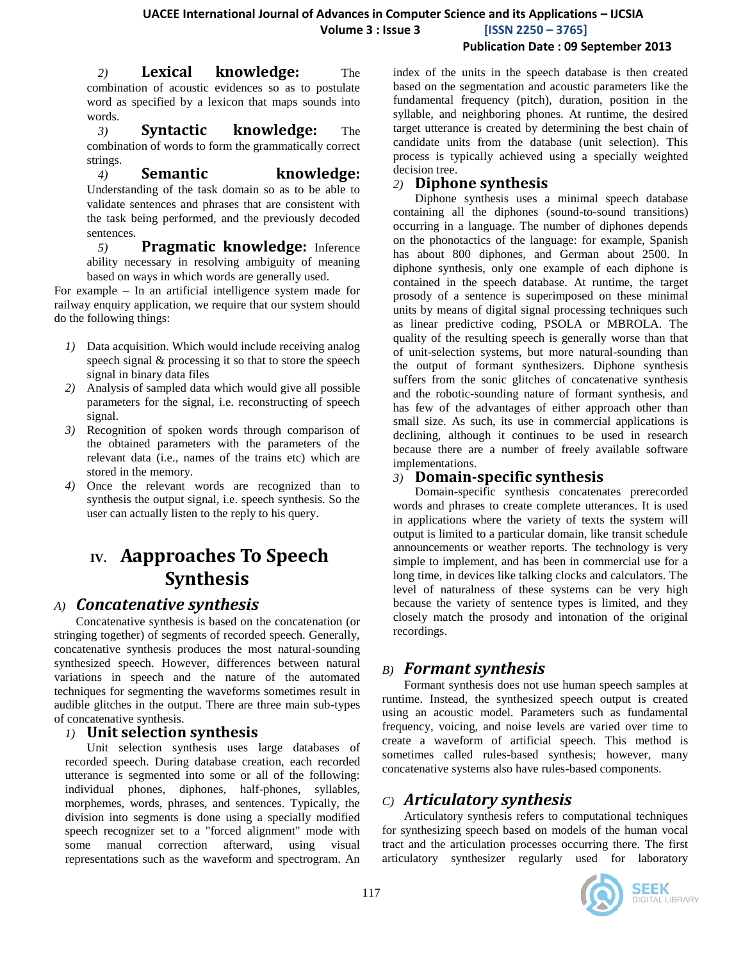#### **Publication Date : 09 September 2013**

*2)* **Lexical knowledge:** The combination of acoustic evidences so as to postulate word as specified by a lexicon that maps sounds into words.

*3)* **Syntactic knowledge:** The combination of words to form the grammatically correct strings.

*4)* **Semantic knowledge:** Understanding of the task domain so as to be able to validate sentences and phrases that are consistent with the task being performed, and the previously decoded sentences.

*5)* **Pragmatic knowledge:** Inference ability necessary in resolving ambiguity of meaning based on ways in which words are generally used.

For example – In an artificial intelligence system made for railway enquiry application, we require that our system should do the following things:

- *1)* Data acquisition. Which would include receiving analog speech signal & processing it so that to store the speech signal in binary data files
- *2)* Analysis of sampled data which would give all possible parameters for the signal, i.e. reconstructing of speech signal.
- *3)* Recognition of spoken words through comparison of the obtained parameters with the parameters of the relevant data (i.e., names of the trains etc) which are stored in the memory.
- *4)* Once the relevant words are recognized than to synthesis the output signal, i.e. speech synthesis. So the user can actually listen to the reply to his query.

# **IV. Aapproaches To Speech Synthesis**

# *A) Concatenative synthesis*

Concatenative synthesis is based on the concatenation (or stringing together) of segments of recorded speech. Generally, concatenative synthesis produces the most natural-sounding synthesized speech. However, differences between natural variations in speech and the nature of the automated techniques for segmenting the waveforms sometimes result in audible glitches in the output. There are three main sub-types of concatenative synthesis.

### *1)* **Unit selection synthesis**

Unit selection synthesis uses large databases of recorded speech. During database creation, each recorded utterance is segmented into some or all of the following: individual phones, diphones, half-phones, syllables, morphemes, words, phrases, and sentences. Typically, the division into segments is done using a specially modified speech recognizer set to a "forced alignment" mode with some manual correction afterward, using visual representations such as the waveform and spectrogram. An

index of the units in the speech database is then created based on the segmentation and acoustic parameters like the fundamental frequency (pitch), duration, position in the syllable, and neighboring phones. At runtime, the desired target utterance is created by determining the best chain of candidate units from the database (unit selection). This process is typically achieved using a specially weighted decision tree.

#### *2)* **Diphone synthesis**

Diphone synthesis uses a minimal speech database containing all the diphones (sound-to-sound transitions) occurring in a language. The number of diphones depends on the phonotactics of the language: for example, Spanish has about 800 diphones, and German about 2500. In diphone synthesis, only one example of each diphone is contained in the speech database. At runtime, the target prosody of a sentence is superimposed on these minimal units by means of digital signal processing techniques such as linear predictive coding, PSOLA or MBROLA. The quality of the resulting speech is generally worse than that of unit-selection systems, but more natural-sounding than the output of formant synthesizers. Diphone synthesis suffers from the sonic glitches of concatenative synthesis and the robotic-sounding nature of formant synthesis, and has few of the advantages of either approach other than small size. As such, its use in commercial applications is declining, although it continues to be used in research because there are a number of freely available software implementations.

# *3)* **Domain-specific synthesis**

Domain-specific synthesis concatenates prerecorded words and phrases to create complete utterances. It is used in applications where the variety of texts the system will output is limited to a particular domain, like transit schedule announcements or weather reports. The technology is very simple to implement, and has been in commercial use for a long time, in devices like talking clocks and calculators. The level of naturalness of these systems can be very high because the variety of sentence types is limited, and they closely match the prosody and intonation of the original recordings.

# *B) Formant synthesis*

Formant synthesis does not use human speech samples at runtime. Instead, the synthesized speech output is created using an acoustic model. Parameters such as fundamental frequency, voicing, and noise levels are varied over time to create a waveform of artificial speech. This method is sometimes called rules-based synthesis; however, many concatenative systems also have rules-based components.

# *C) Articulatory synthesis*

Articulatory synthesis refers to computational techniques for synthesizing speech based on models of the human vocal tract and the articulation processes occurring there. The first articulatory synthesizer regularly used for laboratory